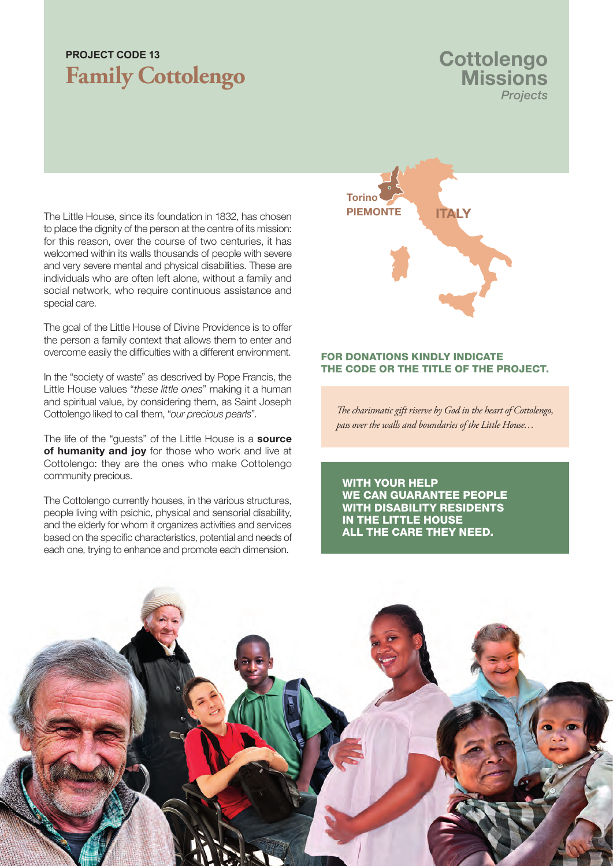## **Family Cottolengo PROJECT CODE 13**

### **Cottolengo Missions** *Projects*

The Little House, since its foundation in 1832, has chosen to place the dignity of the person at the centre of its mission: for this reason, over the course of two centuries, it has welcomed within its walls thousands of people with severe and very severe mental and physical disabilities. These are individuals who are often left alone, without a family and social network, who require continuous assistance and special care.

The goal of the Little House of Divine Providence is to offer the person a family context that allows them to enter and overcome easily the difficulties with a different environment.

In the "society of waste" as descrived by Pope Francis, the Little House values "*these little ones*" making it a human and spiritual value, by considering them, as Saint Joseph Cottolengo liked to call them, "*our precious pearls*".

The life of the "guests" of the Little House is a source of humanity and joy for those who work and live at Cottolengo: they are the ones who make Cottolengo community precious.

The Cottolengo currently houses, in the various structures, people living with psichic, physical and sensorial disability, and the elderly for whom it organizes activities and services based on the specific characteristics, potential and needs of each one, trying to enhance and promote each dimension.



#### FOR DONATIONS KINDLY INDICATE THE CODE OR THE TITLE OF THE PROJECT.

*The charismatic gift riserve by God in the heart of Cottolengo, pass over the walls and boundaries of the Little House…*

WITH YOUR HELP WE CAN GUARANTEE PEOPLE WITH DISABILITY RESIDENTS IN THE LITTLE HOUSE ALL THE CARE THEY NEED.